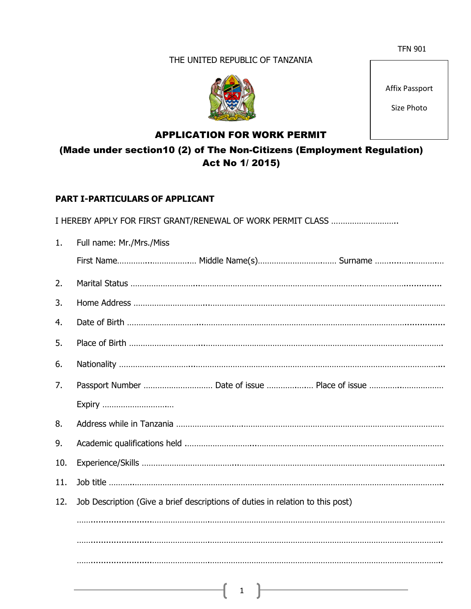### THE UNITED REPUBLIC OF TANZANIA



Affix Passport

Size Photo

# APPLICATION FOR WORK PERMIT

(Made under section10 (2) of The Non-Citizens (Employment Regulation) Act No 1/ 2015)

### **PART I-PARTICULARS OF APPLICANT**

I HEREBY APPLY FOR FIRST GRANT/RENEWAL OF WORK PERMIT CLASS ………………………..

| 1.  | Full name: Mr./Mrs./Miss                                                                                                                                                                                                                                                                                                                                                             |  |  |
|-----|--------------------------------------------------------------------------------------------------------------------------------------------------------------------------------------------------------------------------------------------------------------------------------------------------------------------------------------------------------------------------------------|--|--|
|     | First Name Middle Name(s) Surname                                                                                                                                                                                                                                                                                                                                                    |  |  |
| 2.  |                                                                                                                                                                                                                                                                                                                                                                                      |  |  |
| 3.  |                                                                                                                                                                                                                                                                                                                                                                                      |  |  |
| 4.  |                                                                                                                                                                                                                                                                                                                                                                                      |  |  |
| 5.  |                                                                                                                                                                                                                                                                                                                                                                                      |  |  |
| 6.  |                                                                                                                                                                                                                                                                                                                                                                                      |  |  |
| 7.  |                                                                                                                                                                                                                                                                                                                                                                                      |  |  |
|     | Expiry                                                                                                                                                                                                                                                                                                                                                                               |  |  |
| 8.  |                                                                                                                                                                                                                                                                                                                                                                                      |  |  |
| 9.  |                                                                                                                                                                                                                                                                                                                                                                                      |  |  |
| 10. |                                                                                                                                                                                                                                                                                                                                                                                      |  |  |
| 11. |                                                                                                                                                                                                                                                                                                                                                                                      |  |  |
| 12. | Job Description (Give a brief descriptions of duties in relation to this post)                                                                                                                                                                                                                                                                                                       |  |  |
|     |                                                                                                                                                                                                                                                                                                                                                                                      |  |  |
|     |                                                                                                                                                                                                                                                                                                                                                                                      |  |  |
|     |                                                                                                                                                                                                                                                                                                                                                                                      |  |  |
|     | $\overline{1}$ $\overline{1}$ $\overline{1}$ $\overline{1}$ $\overline{1}$ $\overline{1}$ $\overline{1}$ $\overline{1}$ $\overline{1}$ $\overline{1}$ $\overline{1}$ $\overline{1}$ $\overline{1}$ $\overline{1}$ $\overline{1}$ $\overline{1}$ $\overline{1}$ $\overline{1}$ $\overline{1}$ $\overline{1}$ $\overline{1}$ $\overline{1}$ $\overline{1}$ $\overline{1}$ $\overline{$ |  |  |
|     |                                                                                                                                                                                                                                                                                                                                                                                      |  |  |